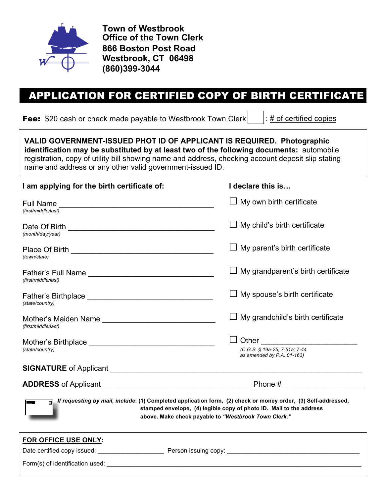

**Town of Westbrook Office of the Town Clerk 866 Boston Post Road Westbrook, CT 06498 (860)399-3044**

# APPLICATION FOR CERTIFIED COPY OF BIRTH CERTIFICATE

**Fee:** \$20 cash or check made payable to Westbrook Town Clerk  $\vert \cdot \vert$ : # of certified copies

| VALID GOVERNMENT-ISSUED PHOT ID OF APPLICANT IS REQUIRED. Photographic<br>identification may be substituted by at least two of the following documents: automobile<br>registration, copy of utility bill showing name and address, checking account deposit slip stating<br>name and address or any other valid government-issued ID. |                                                                                                                                                                                                                                                                                               |
|---------------------------------------------------------------------------------------------------------------------------------------------------------------------------------------------------------------------------------------------------------------------------------------------------------------------------------------|-----------------------------------------------------------------------------------------------------------------------------------------------------------------------------------------------------------------------------------------------------------------------------------------------|
| I am applying for the birth certificate of:                                                                                                                                                                                                                                                                                           | I declare this is                                                                                                                                                                                                                                                                             |
| (first/middle/last)                                                                                                                                                                                                                                                                                                                   | $\Box$ My own birth certificate                                                                                                                                                                                                                                                               |
| (month/day/year)                                                                                                                                                                                                                                                                                                                      | $\Box$ My child's birth certificate                                                                                                                                                                                                                                                           |
| (town/state)                                                                                                                                                                                                                                                                                                                          | $\Box$ My parent's birth certificate                                                                                                                                                                                                                                                          |
| (first/middle/last)                                                                                                                                                                                                                                                                                                                   | $\Box$ My grandparent's birth certificate                                                                                                                                                                                                                                                     |
| (state/country)                                                                                                                                                                                                                                                                                                                       | $\Box$ My spouse's birth certificate                                                                                                                                                                                                                                                          |
| (first/middle/last)                                                                                                                                                                                                                                                                                                                   | $\Box$ My grandchild's birth certificate                                                                                                                                                                                                                                                      |
| (state/country)                                                                                                                                                                                                                                                                                                                       | Other the contract of the contract of the contract of the contract of the contract of the contract of the contract of the contract of the contract of the contract of the contract of the contract of the contract of the cont<br>(C.G.S. § 19a-25; 7-51a; 7-44<br>as amended by P.A. 01-163) |
|                                                                                                                                                                                                                                                                                                                                       |                                                                                                                                                                                                                                                                                               |
|                                                                                                                                                                                                                                                                                                                                       |                                                                                                                                                                                                                                                                                               |
|                                                                                                                                                                                                                                                                                                                                       | If requesting by mail, include: (1) Completed application form, (2) check or money order, (3) Self-addressed,<br>stamped envelope, (4) legible copy of photo ID. Mail to the address<br>above. Make check payable to "Westbrook Town Clerk."                                                  |
| FOR OFFICE USE ONLY:                                                                                                                                                                                                                                                                                                                  |                                                                                                                                                                                                                                                                                               |
|                                                                                                                                                                                                                                                                                                                                       |                                                                                                                                                                                                                                                                                               |
| Form(s) of identification used:                                                                                                                                                                                                                                                                                                       |                                                                                                                                                                                                                                                                                               |